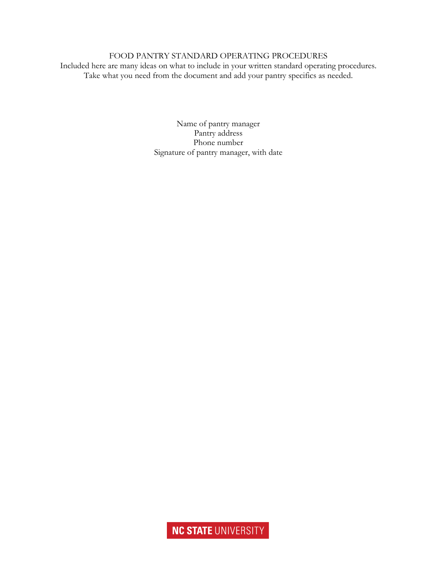## FOOD PANTRY STANDARD OPERATING PROCEDURES

Included here are many ideas on what to include in your written standard operating procedures. Take what you need from the document and add your pantry specifics as needed.

> Name of pantry manager Pantry address Phone number Signature of pantry manager, with date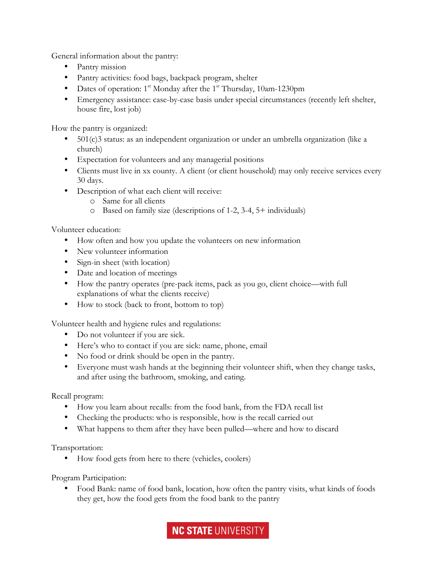General information about the pantry:

- Pantry mission
- Pantry activities: food bags, backpack program, shelter
- Dates of operation:  $1^{st}$  Monday after the  $1^{st}$  Thursday, 10am-1230pm
- Emergency assistance: case-by-case basis under special circumstances (recently left shelter, house fire, lost job)

How the pantry is organized:

- $501(c)$ 3 status: as an independent organization or under an umbrella organization (like a church)
- Expectation for volunteers and any managerial positions
- Clients must live in xx county. A client (or client household) may only receive services every 30 days.
- Description of what each client will receive:
	- o Same for all clients
	- o Based on family size (descriptions of 1-2, 3-4, 5+ individuals)

Volunteer education:

- How often and how you update the volunteers on new information
- New volunteer information
- Sign-in sheet (with location)
- Date and location of meetings
- How the pantry operates (pre-pack items, pack as you go, client choice—with full explanations of what the clients receive)
- How to stock (back to front, bottom to top)

Volunteer health and hygiene rules and regulations:

- Do not volunteer if you are sick.
- Here's who to contact if you are sick: name, phone, email
- No food or drink should be open in the pantry.
- Everyone must wash hands at the beginning their volunteer shift, when they change tasks, and after using the bathroom, smoking, and eating.

Recall program:

- How you learn about recalls: from the food bank, from the FDA recall list
- Checking the products: who is responsible, how is the recall carried out
- What happens to them after they have been pulled—where and how to discard

Transportation:

• How food gets from here to there (vehicles, coolers)

Program Participation:

• Food Bank: name of food bank, location, how often the pantry visits, what kinds of foods they get, how the food gets from the food bank to the pantry

**NC STATE UNIVERSITY**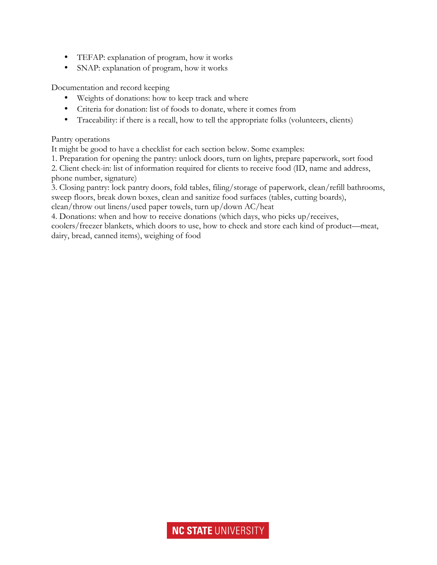- TEFAP: explanation of program, how it works
- SNAP: explanation of program, how it works

Documentation and record keeping

- Weights of donations: how to keep track and where
- Criteria for donation: list of foods to donate, where it comes from
- Traceability: if there is a recall, how to tell the appropriate folks (volunteers, clients)

## Pantry operations

It might be good to have a checklist for each section below. Some examples:

1. Preparation for opening the pantry: unlock doors, turn on lights, prepare paperwork, sort food

2. Client check-in: list of information required for clients to receive food (ID, name and address, phone number, signature)

3. Closing pantry: lock pantry doors, fold tables, filing/storage of paperwork, clean/refill bathrooms, sweep floors, break down boxes, clean and sanitize food surfaces (tables, cutting boards), clean/throw out linens/used paper towels, turn up/down AC/heat

4. Donations: when and how to receive donations (which days, who picks up/receives,

coolers/freezer blankets, which doors to use, how to check and store each kind of product—meat, dairy, bread, canned items), weighing of food